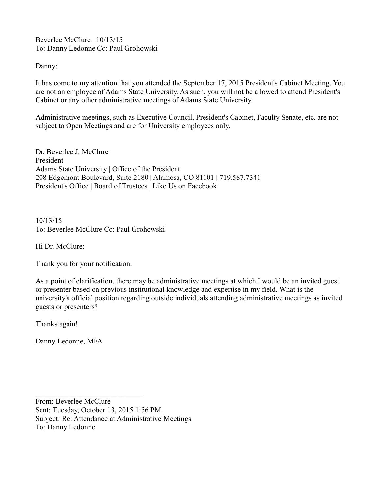Beverlee McClure 10/13/15 To: Danny Ledonne Cc: Paul Grohowski

Danny:

It has come to my attention that you attended the September 17, 2015 President's Cabinet Meeting. You are not an employee of Adams State University. As such, you will not be allowed to attend President's Cabinet or any other administrative meetings of Adams State University.

Administrative meetings, such as Executive Council, President's Cabinet, Faculty Senate, etc. are not subject to Open Meetings and are for University employees only.

Dr. Beverlee J. McClure President Adams State University | Office of the President 208 Edgemont Boulevard, Suite 2180 | Alamosa, CO 81101 | 719.587.7341 President's Office | Board of Trustees | Like Us on Facebook

10/13/15 To: Beverlee McClure Cc: Paul Grohowski

Hi Dr. McClure:

Thank you for your notification.

As a point of clarification, there may be administrative meetings at which I would be an invited guest or presenter based on previous institutional knowledge and expertise in my field. What is the university's official position regarding outside individuals attending administrative meetings as invited guests or presenters?

Thanks again!

Danny Ledonne, MFA

From: Beverlee McClure Sent: Tuesday, October 13, 2015 1:56 PM Subject: Re: Attendance at Administrative Meetings To: Danny Ledonne

 $\mathcal{L}_\text{max}$  , where  $\mathcal{L}_\text{max}$  , we have the set of  $\mathcal{L}_\text{max}$